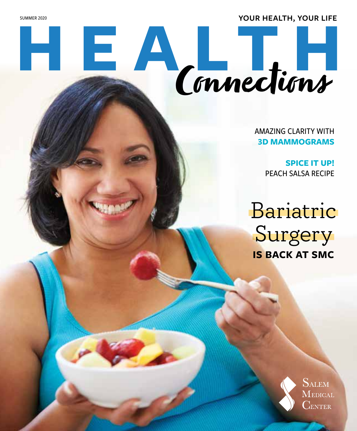**SUMMER 2020 YOUR HEALTH, YOUR LIFE** 

# **HE ALTH** Connections

AMAZING CLARITY WITH **3D MAMMOGRAMS**

> **SPICE IT UP!** PEACH SALSA RECIPE

Bariatric Surgery **IS BACK AT SMC** 

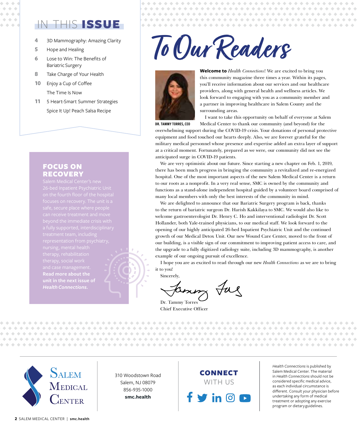#### IN THIS ISSUE

- **4** 3D Mammography: Amazing Clarity
- **5** Hope and Healing
- **6** Lose to Win: The Benefits of Bariatric Surgery
- **8** Take Charge of Your Health
- **10** Enjoy a Cup of Coffee The Time Is Now
- **11** 5 Heart-Smart Summer Strategies Spice It Up! Peach Salsa Recipe

#### FOCUS ON RECOVERY

can receive treatment and move **Read more about the**  *Health Connections***.**

### **To Our Readers**



**Welcome to** *Health Connections*! We are excited to bring you this community magazine three times a year. Within its pages, you'll receive information about our services and our healthcare providers, along with general health and wellness articles. We look forward to engaging with you as a community member and a partner in improving healthcare in Salem County and the surrounding areas.

. . . . . . . . . . . .

\*\*\*\*\*\*\*\*\*\*\*\*\*\*\*\*\*\*\*

I want to take this opportunity on behalf of everyone at Salem Medical Center to thank our community (and beyond) for the

overwhelming support during the COVID-19 crisis. Your donations of personal protective equipment and food touched our hearts deeply. Also, we are forever grateful for the military medical personnel whose presence and expertise added an extra layer of support at a critical moment. Fortunately, prepared as we were, our community did not see the anticipated surge in COVID-19 patients. DR. TAMMY TORRES, CEO

We are very optimistic about our future. Since starting a new chapter on Feb. 1, 2019, there has been much progress in bringing the community a revitalized and re-energized hospital. One of the most important aspects of the new Salem Medical Center is a return to our roots as a nonprofit. In a very real sense, SMC is owned by the community and functions as a stand-alone independent hospital guided by a volunteer board comprised of many local members with only the best interests of the community in mind.

We are delighted to announce that our Bariatric Surgery program is back, thanks to the return of bariatric surgeon Dr. Harish Kakkilaya to SMC. We would also like to welcome gastroenterologist Dr. Henry C. Ho and interventional radiologist Dr. Scott Hollander, both Yale-trained physicians, to our medical staff. We look forward to the opening of our highly anticipated 26-bed Inpatient Psychiatric Unit and the continued growth of our Medical Detox Unit. Our new Wound Care Center, moved to the front of our building, is a visible sign of our commitment to improving patient access to care, and the upgrade to a fully digitized radiology suite, including 3D mammography, is another example of our ongoing pursuit of excellence.

I hope you are as excited to read through our new *Health Connections* as we are to bring it to you!

Sincerely,

lenny Jag

Dr. Tammy Torres Chief Executive Officer

**SALEM**  $\rm M$ edical **ENTER** 

310 Woodstown Road Salem, NJ 08079 856-935-1000 **smc.health**

#### CONNECT WITH US  $\mathbf{in}$   $\mathbf{\Theta}$

*Health Connections* is published by Salem Medical Center. The material in *Health Connections* should not be considered specific medical advice, as each individual circumstance is different. Consult your physician before undertaking any form of medical treatment or adopting any exercise program or dietary guidelines.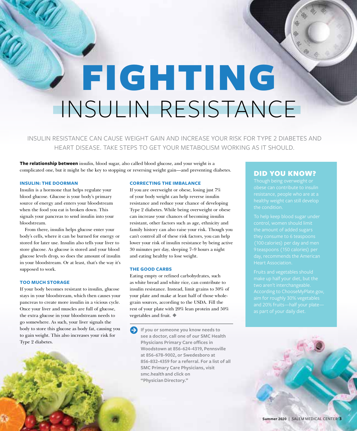## FIGHTING INSULIN RESISTANCE

INSULIN RESISTANCE CAN CAUSE WEIGHT GAIN AND INCREASE YOUR RISK FOR TYPE 2 DIABETES AND HEART DISEASE. TAKE STEPS TO GET YOUR METABOLISM WORKING AS IT SHOULD.

**The relationship between** insulin, blood sugar, also called blood glucose, and your weight is a complicated one, but it might be the key to stopping or reversing weight gain—and preventing diabetes.

#### **INSULIN: THE DOORMAN**

Insulin is a hormone that helps regulate your blood glucose. Glucose is your body's primary source of energy and enters your bloodstream when the food you eat is broken down. This signals your pancreas to send insulin into your bloodstream.

From there, insulin helps glucose enter your body's cells, where it can be burned for energy or stored for later use. Insulin also tells your liver to store glucose. As glucose is stored and your blood glucose levels drop, so does the amount of insulin in your bloodstream. Or at least, that's the way it's supposed to work.

#### **TOO MUCH STORAGE**

If your body becomes resistant to insulin, glucose stays in your bloodstream, which then causes your pancreas to create more insulin in a vicious cycle. Once your liver and muscles are full of glucose, the extra glucose in your bloodstream needs to go somewhere. As such, your liver signals the body to store this glucose as body fat, causing you to gain weight. This also increases your risk for Type 2 diabetes.

#### **CORRECTING THE IMBALANCE**

If you are overweight or obese, losing just 7% of your body weight can help reverse insulin resistance and reduce your chance of developing Type 2 diabetes. While being overweight or obese can increase your chances of becoming insulin resistant, other factors such as age, ethnicity and family history can also raise your risk. Though you can't control all of these risk factors, you can help lower your risk of insulin resistance by being active 30 minutes per day, sleeping 7–9 hours a night and eating healthy to lose weight.

#### **THE GOOD CARBS**

Eating empty or refined carbohydrates, such as white bread and white rice, can contribute to insulin resistance. Instead, limit grains to 30% of your plate and make at least half of those wholegrain sources, according to the USDA. Fill the rest of your plate with 20% lean protein and 50% vegetables and fruit.

**A** If you or someone you know needs to **see a doctor, call one of our SMC Health Physicians Primary Care offices in Woodstown at 856-624-4319, Pennsville at 856-678-9002, or Swedesboro at 856-832-4359 for a referral. For a list of all SMC Primary Care Physicians, visit smc.health and click on "Physician Directory."**

#### DID YOU KNOW?

According to ChooseMyPlate.gov,

**Summer 2020** | SALEM MEDICAL CENTER **3**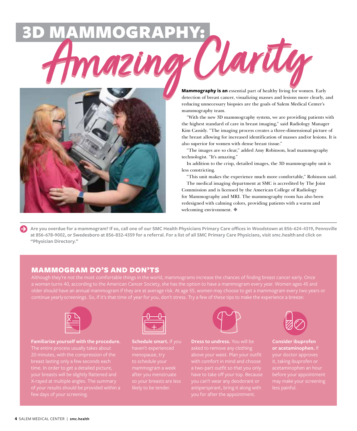# **AMMMOGRAPHY:**<br> **AMMAZING CLAYING**



detection of breast cancer, visualizing masses and lesions more clearly, and reducing unnecessary biopsies are the goals of Salem Medical Center's mammography team.

"With the new 3D mammography system, we are providing patients with the highest standard of care in breast imaging," said Radiology Manager Kim Cassidy. "The imaging process creates a three-dimensional picture of the breast allowing for increased identification of masses and/or lesions. It is also superior for women with dense breast tissue."

"The images are so clear," added Amy Robinson, lead mammography technologist. "It's amazing."

In addition to the crisp, detailed images, the 3D mammography unit is less constricting.

"This unit makes the experience much more comfortable," Robinson said. The medical imaging department at SMC is accredited by The Joint Commission and is licensed by the American College of Radiology for Mammography and MRI. The mammography room has also been redesigned with calming colors, providing patients with a warm and welcoming environment.

Are you overdue for a mammogram? If so, call one of our SMC Health Physicians Primary Care offices in Woodstown at 856-624-4319, Pennsville **at 856-678-9002, or Swedesboro at 856-832-4359 for a referral. For a list of all SMC Primary Care Physicians, visit smc.health and click on "Physician Directory."**

#### MAMMOGRAM DO'S AND DON'TS

Although they're not the most comfortable things in the world, mammograms increase the chances of finding breast cancer early. Once older should have an annual mammogram if they are at average risk. At age 55, women may choose to get a mammogram every two years or



**Familiarize yourself with the procedure.**  20 minutes, with the compression of the breast lasting only a few seconds each your breasts will be slightly flattened and X-rayed at multiple angles. The summary

**Schedule smart.** If you menopause, try



**Dress to undress.** You will be above your waist. Plan your outfit you for after the appointment.



**Consider ibuprofen or acetaminophen.** If your doctor approves before your appointment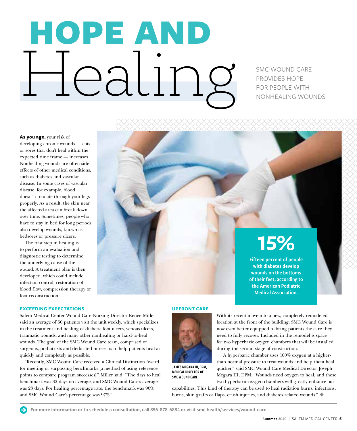# HOPE AND **Health SMC WOUND CARE**

PROVIDES HOPE FOR PEOPLE WITH NONHEALING WOUNDS

**As you age,** your risk of developing chronic wounds — cuts or sores that don't heal within the expected time frame — increases. Nonhealing wounds are often side effects of other medical conditions, such as diabetes and vascular disease. In some cases of vascular disease, for example, blood doesn't circulate through your legs properly. As a result, the skin near the affected area can break down over time. Sometimes, people who have to stay in bed for long periods also develop wounds, known as bedsores or pressure ulcers.

The first step in healing is to perform an evaluation and diagnostic testing to determine the underlying cause of the wound. A treatment plan is then developed, which could include infection control, restoration of blood flow, compression therapy or foot reconstruction.

#### **EXCEEDING EXPECTATIONS**

Salem Medical Center Wound Care Nursing Director Renee Miller said an average of 60 patients visit the unit weekly, which specializes in the treatment and healing of diabetic foot ulcers, venous ulcers, traumatic wounds, and many other nonhealing or hard-to-heal wounds. The goal of the SMC Wound Care team, comprised of surgeons, podiatrists and dedicated nurses, is to help patients heal as quickly and completely as possible.

"Recently, SMC Wound Care received a Clinical Distinction Award for meeting or surpassing benchmarks [a method of using reference points to compare program successes]," Miller said. "The days to heal benchmark was 32 days on average, and SMC Wound Care's average was 28 days. For healing percentage rate, the benchmark was 90% and SMC Wound Care's percentage was 97%."

#### **UPFRONT CARE**



JAMES MEGARA III, DPM, MEDICAL DIRECTOR OF SMC WOUND CARE

### **15%**

Fifteen percent of people with diabetes develop wounds on the bottoms of their feet, according to the American Podiatric Medical Association.

With its recent move into a new, completely remodeled location at the front of the building, SMC Wound Care is now even better equipped to bring patients the care they need to fully recover. Included in the remodel is space for two hyperbaric oxygen chambers that will be installed during the second stage of construction.

"A hyperbaric chamber uses 100% oxygen at a higherthan-normal pressure to treat wounds and help them heal quicker," said SMC Wound Care Medical Director Joseph Megara III, DPM. "Wounds need oxygen to heal, and these two hyperbaric oxygen chambers will greatly enhance our

capabilities. This kind of therapy can be used to heal radiation burns, infections, burns, skin grafts or flaps, crush injuries, and diabetes-related wounds."

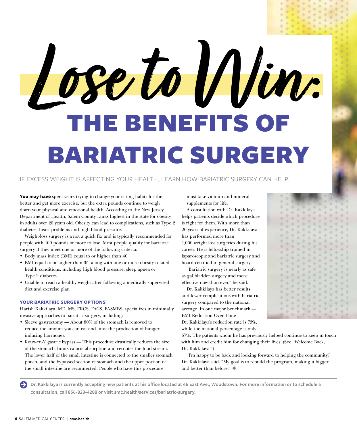# THE BENEFITS OF BARIATRIC SURGERY **Lose to Win:**

#### IF EXCESS WEIGHT IS AFFECTING YOUR HEALTH, LEARN HOW BARIATRIC SURGERY CAN HELP.

**You may have** spent years trying to change your eating habits for the better and get more exercise, but the extra pounds continue to weigh down your physical and emotional health. According to the New Jersey Department of Health, Salem County ranks highest in the state for obesity in adults over 20 years old. Obesity can lead to complications, such as Type 2 diabetes, heart problems and high blood pressure.

Weight-loss surgery is a not a quick fix and is typically recommended for people with 100 pounds or more to lose. Most people qualify for bariatric surgery if they meet one or more of the following criteria:

- Body mass index (BMI) equal to or higher than 40
- BMI equal to or higher than 35, along with one or more obesity-related health conditions, including high blood pressure, sleep apnea or Type 2 diabetes
- Unable to reach a healthy weight after following a medically supervised diet and exercise plan

#### **YOUR BARIATRIC SURGERY OPTIONS**

Harish Kakkilaya, MD, MS, FRCS, FACS, FASMBS, specializes in minimally invasive approaches to bariatric surgery, including:

- Sleeve gastrectomy About 80% of the stomach is removed to reduce the amount you can eat and limit the production of hungerinducing hormones.
- Roux-en-Y gastric bypass This procedure drastically reduces the size of the stomach, limits calorie absorption and reroutes the food stream. The lower half of the small intestine is connected to the smaller stomach pouch, and the bypassed section of stomach and the upper portion of the small intestine are reconnected. People who have this procedure

must take vitamin and mineral supplements for life.

A consultation with Dr. Kakkilaya helps patients decide which procedure is right for them. With more than 20 years of experience, Dr. Kakkilaya has performed more than 1,000 weight-loss surgeries during his career. He is fellowship trained in laparoscopic and bariatric surgery and board certified in general surgery.

"Bariatric surgery is nearly as safe as gallbladder surgery and more effective now than ever," he said.

Dr. Kakkilaya has better results and fewer complications with bariatric surgery compared to the national average. In one major benchmark — BMI Reduction Over Time — Dr. Kakkilaya's reduction rate is 73%, while the national percentage is only

57%. The patients whom he has previously helped continue to keep in touch with him and credit him for changing their lives. (See "Welcome Back, Dr. Kakkilaya!")

"I'm happy to be back and looking forward to helping the community," Dr. Kakkilaya said. "My goal is to rebuild the program, making it bigger and better than before."

**A** Dr. Kakkilaya is currently accepting new patients at his office located at 66 East Ave., Woodstown. For more information or to schedule a **consultation, call 856-823-4288 or visit smc.health/services/bariatric-surgery.**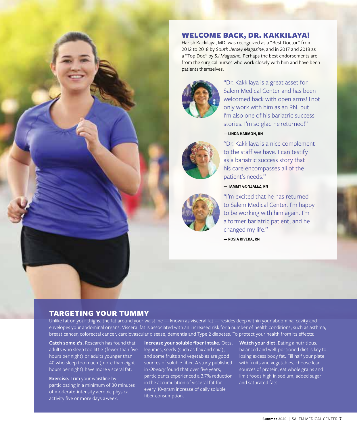

#### WELCOME BACK, DR. KAKKILAYA!

Harish Kakkilaya, MD, was recognized as a "Best Doctor" from 2012 to 2018 by *South Jersey Magazine*, and in 2017 and 2018 as a "Top Doc" by *SJ Magazine.* Perhaps the best endorsements are from the surgical nurses who work closely with him and have been patients themselves.



"Dr. Kakkilaya is a great asset for Salem Medical Center and has been welcomed back with open arms! I not only work with him as an RN, but I'm also one of his bariatric success stories. I'm so glad he returned!"

— LINDA HARMON, RN



"Dr. Kakkilaya is a nice complement to the staff we have. I can testify as a bariatric success story that his care encompasses all of the patient's needs."

#### — TAMMY GONZALEZ, RN

"I'm excited that he has returned to Salem Medical Center. I'm happy to be working with him again. I'm a former bariatric patient, and he changed my life."

— ROSIA RIVERA, RN

#### TARGETING YOUR TUMMY

Unlike fat on your thighs, the fat around your waistline — known as visceral fat — resides deep within your abdominal cavity and envelopes your abdominal organs. Visceral fat is associated with an increased risk for a number of health conditions, such as asthma, breast cancer, colorectal cancer, cardiovascular disease, dementia and Type 2 diabetes. To protect your health from its effects:

**Catch some z's.** Research has found that adults who sleep too little (fewer than five hours per night) or adults younger than 40 who sleep too much (more than eight hours per night) have more visceral fat.

**Exercise.** Trim your waistline by participating in a minimum of 30 minutes of moderate-intensity aerobic physical activity five or more days a week.

**Increase your soluble fiber intake.** Oats, legumes, seeds (such as flax and chia), and some fruits and vegetables are good sources of soluble fiber. A study published in *Obesity* found that over five years, participants experienced a 3.7% reduction in the accumulation of visceral fat for every 10-gram increase of daily soluble fiber consumption.

**Watch your diet.** Eating a nutritious, balanced and well-portioned diet is key to losing excess body fat. Fill half your plate with fruits and vegetables, choose lean sources of protein, eat whole grains and limit foods high in sodium, added sugar and saturated fats.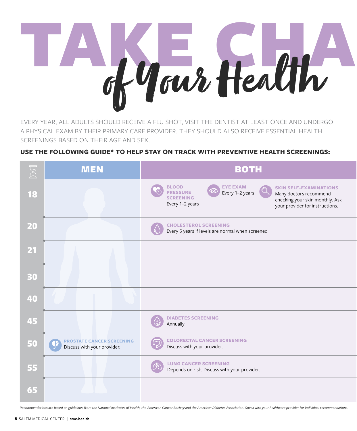# TAKE CHA of Your Health

EVERY YEAR, ALL ADULTS SHOULD RECEIVE A FLU SHOT, VISIT THE DENTIST AT LEAST ONCE AND UNDERGO A PHYSICAL EXAM BY THEIR PRIMARY CARE PROVIDER. THEY SHOULD ALSO RECEIVE ESSENTIAL HEALTH SCREENINGS BASED ON THEIR AGE AND SEX.

#### **USE THE FOLLOWING GUIDE\* TO HELP STAY ON TRACK WITH PREVENTIVE HEALTH SCREENINGS:**

| EXI                                                                                                                                                                                                                    | <b>MEN</b>                                                      | <b>BOTH</b>                                                                                                                                                                                                                                                     |
|------------------------------------------------------------------------------------------------------------------------------------------------------------------------------------------------------------------------|-----------------------------------------------------------------|-----------------------------------------------------------------------------------------------------------------------------------------------------------------------------------------------------------------------------------------------------------------|
| 18                                                                                                                                                                                                                     |                                                                 | <b>BLOOD</b><br><b>EYE EXAM</b><br><b>SKIN SELF-EXAMINATIONS</b><br>$\circledcirc$<br><b>PRESSURE</b><br>Every 1-2 years<br>Many doctors recommend<br><b>SCREENING</b><br>checking your skin monthly. Ask<br>Every 1-2 years<br>your provider for instructions. |
| 20                                                                                                                                                                                                                     |                                                                 | <b>CHOLESTEROL SCREENING</b><br>Every 5 years if levels are normal when screened                                                                                                                                                                                |
| $\overline{\mathbf{21}}$                                                                                                                                                                                               |                                                                 |                                                                                                                                                                                                                                                                 |
| 30                                                                                                                                                                                                                     |                                                                 |                                                                                                                                                                                                                                                                 |
| 40                                                                                                                                                                                                                     |                                                                 |                                                                                                                                                                                                                                                                 |
| 45                                                                                                                                                                                                                     |                                                                 | <b>DIABETES SCREENING</b><br>Annually                                                                                                                                                                                                                           |
| 50                                                                                                                                                                                                                     | <b>PROSTATE CANCER SCREENING</b><br>Discuss with your provider. | <b>COLORECTAL CANCER SCREENING</b><br>Discuss with your provider.                                                                                                                                                                                               |
| 55                                                                                                                                                                                                                     |                                                                 | <b>LUNG CANCER SCREENING</b><br>Depends on risk. Discuss with your provider.                                                                                                                                                                                    |
| 65                                                                                                                                                                                                                     |                                                                 |                                                                                                                                                                                                                                                                 |
| Recommendations are based on guidelines from the National Institutes of Health, the American Cancer Society and the American Diabetes Association. Speak with your healthcare provider for individual recommendations. |                                                                 |                                                                                                                                                                                                                                                                 |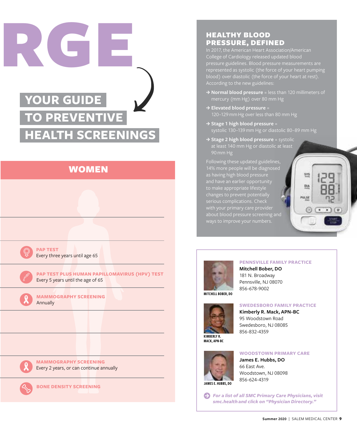

#### WOMEN



**PAP TEST** Every three years until age 65

**PAP TEST PLUS HUMAN PAPILLOMAVIRUS (HPV) TEST** Every 5 years until the age of 65

**MAMMOGRAPHY SCREENING** Annually



**MAMMOGRAPHY SCREENING** Every 2 years, or can continue annually



**BONE DENSITY SCREENING**

#### HEALTHY BLOOD PRESSURE, DEFINED

In 2017, the American Heart Association/American College of Cardiology released updated blood pressure guidelines. Blood pressure measurements are represented as systolic (the force of your heart pumping According to the new guidelines:

- → **Normal blood pressure** = less than 120 millimeters of mercury (mm Hg) over 80 mm Hg
- **J Elevated blood pressure** = 120–129 mm Hg over less than 80 mm Hg
- **J Stage 1 high blood pressure** = systolic 130–139 mm Hg or diastolic 80–89 mm Hg
- **→ Stage 2 high blood pressure** = systolic at least 140 mm Hg or diastolic at least 90 mm Hg

Following these updated guidelines, 14% more people will be diagnosed as having high blood pressure and have an earlier opportunity to make appropriate lifestyle changes to prevent potentially about blood pressure screening and





#### **PENNSVILLE FAMILY PRACTICE**

**Mitchell Bober, DO** 181 N. Broadway Pennsville, NJ 08070 856-678-9002

MITCHELL BOBER, DO



#### **SWEDESBORO FAMILY PRACTICE**

**Kimberly R. Mack, APN-BC** 95 Woodstown Road Swedesboro, NJ 08085 856-832-4359

KIMBERLY R. MACK, APN-BC



#### **WOODSTOWN PRIMARY CARE**

**James E. Hubbs, DO** 66 East Ave. Woodstown, NJ 08098 856-624-4319

**Arrow-Circle-Right** *For a list of all SMC Primary Care Physicians, visit smc.health and click on "Physician Directory."*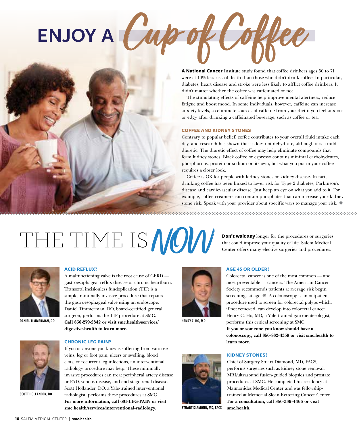# **ENJOY A**



**A National Cancer** Institute study found that coffee drinkers ages 50 to 71 were at 10% less risk of death than those who didn't drink coffee. In particular, diabetes, heart disease and stroke were less likely to afflict coffee drinkers. It didn't matter whether the coffee was caffeinated or not.

The stimulating effects of caffeine help improve mental alertness, reduce fatigue and boost mood. In some individuals, however, caffeine can increase anxiety levels, so eliminate sources of caffeine from your diet if you feel anxious or edgy after drinking a caffeinated beverage, such as coffee or tea.

#### **COFFEE AND KIDNEY STONES**

Contrary to popular belief, coffee contributes to your overall fluid intake each day, and research has shown that it does not dehydrate, although it is a mild diuretic. The diuretic effect of coffee may help eliminate compounds that form kidney stones. Black coffee or espresso contains minimal carbohydrates, phosphorous, protein or sodium on its own, but what you put in your coffee requires a closer look.

Coffee is OK for people with kidney stones or kidney disease. In fact, drinking coffee has been linked to lower risk for Type 2 diabetes, Parkinson's disease and cardiovascular disease. Just keep an eye on what you add to it. For example, coffee creamers can contain phosphates that can increase your kidney stone risk. Speak with your provider about specific ways to manage your risk.

### THE TIME IS **MOW** Center offers many elective surgeries and procedures.



#### **ACID REFLUX?**

A malfunctioning valve is the root cause of GERD gastroesophageal reflux disease or chronic heartburn. Transoral incisionless fundoplication (TIF) is a simple, minimally invasive procedure that repairs the gastroesophageal valve using an endoscope. Daniel Timmerman, DO, board-certified general surgeon, performs the TIF procedure at SMC. DANIEL TIMMERMAN, DO **Call 856-279-2842 or visit smc.health/services/** HENRY C. HO, MD **digestive-health to learn more.**



#### **CHRONIC LEG PAIN?**

If you or anyone you know is suffering from varicose veins, leg or foot pain, ulcers or swelling, blood clots, or recurrent leg infections, an interventional radiology procedure may help. These minimally invasive procedures can treat peripheral artery disease or PAD, venous disease, and end-stage renal disease. Scott Hollander, DO, a Yale-trained interventional radiologist, performs these procedures at SMC. **For more information, call 631-LEG-PAIN or visit smc.health/services/interventional-radiology.** 



#### **AGE 45 OR OLDER?**

Colorectal cancer is one of the most common — and most preventable — cancers. The American Cancer Society recommends patients at average risk begin screenings at age 45. A colonoscopy is an outpatient procedure used to screen for colorectal polyps which, if not removed, can develop into colorectal cancer. Henry C. Ho, MD, a Yale-trained gastroenterologist, performs this critical screening at SMC. **If you or someone you know should have a colonoscopy, call 856-832-4359 or visit smc.health to learn more.**

**Don't wait any** longer for the procedures or surgeries

#### **KIDNEY STONES?**

Chief of Surgery Stuart Diamond, MD, FACS, performs surgeries such as kidney stone removal, MRI/ultrasound fusion-guided biopsies and prostate procedures at SMC. He completed his residency at Maimonides Medical Center and was fellowshiptrained at Memorial Sloan-Kettering Cancer Center. **For a consultation, call 856-339-4466 or visit smc.health.**



STUART DIAMOND, MD, FACS

#### SCOTT HOLLANDER, DO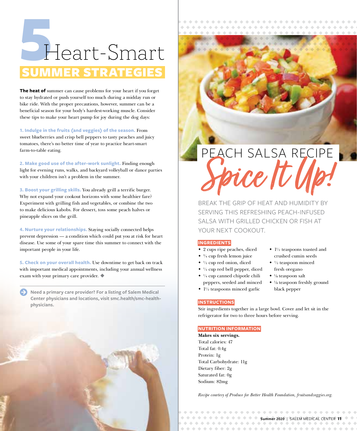### SUMME Heart-Smart SUMMER STRATEGI

**The heat of** summer can cause problems for your heart if you forget to stay hydrated or push yourself too much during a midday run or bike ride. With the proper precautions, however, summer can be a beneficial season for your body's hardest-working muscle. Consider these tips to make your heart pump for joy during the dog days:

**1. Indulge in the fruits (and veggies) of the season.** From sweet blueberries and crisp bell peppers to tasty peaches and juicy tomatoes, there's no better time of year to practice heart-smart farm-to-table eating.

**2. Make good use of the after-work sunlight.** Finding enough light for evening runs, walks, and backyard volleyball or dance parties with your children isn't a problem in the summer.

**3. Boost your grilling skills.** You already grill a terrific burger. Why not expand your cookout horizons with some healthier fare? Experiment with grilling fish and vegetables, or combine the two to make delicious kabobs. For dessert, toss some peach halves or pineapple slices on the grill.

**4. Nurture your relationships.** Staying socially connected helps prevent depression — a condition which could put you at risk for heart disease. Use some of your spare time this summer to connect with the important people in your life.

**5. Check on your overall health.** Use downtime to get back on track with important medical appointments, including your annual wellness exam with your primary care provider.

Need a primary care provider? For a listing of Salem Medical **Center physicians and locations, visit smc.health/smc-healthphysicians.**

## PEACH SALSA RECIPE Spice It Up!

BREAK THE GRIP OF HEAT AND HUMIDITY BY SERVING THIS REFRESHING PEACH-INFUSED SALSA WITH GRILLED CHICKEN OR FISH AT YOUR NEXT COOKOUT.

#### **INGREDIENTS**

- 2 cups ripe peaches, diced
- $\bullet$   $\frac{3}{4}$  cup fresh lemon juice
- $\bullet$   $\frac{1}{2}$  cup red onion, diced
- $\bullet$   $\frac{1}{2}$  cup red bell pepper, diced
- ¼ cup canned chipotle chili peppers, seeded and minced
- $\cdot$  1<sup>1</sup>/<sub>2</sub> teaspoons minced garlic
- $\triangleq$  1<sup>1</sup>/<sub>2</sub> teaspoons toasted and crushed cumin seeds
- $\bullet$  <sup>1</sup>/<sub>2</sub> teaspoon minced fresh oregano
- $\bullet$  <sup>1</sup>/<sub>8</sub> teaspoon salt
- $\bullet$  <sup>1</sup>/<sub>8</sub> teaspoon freshly ground black pepper

#### **INSTRUCTIONS**

Stir ingredients together in a large bowl. Cover and let sit in the refrigerator for two to three hours before serving.

#### **NUTRITION INFORMATION**

**Makes six servings.** Total calories: 47 Total fat: 0.4g Protein: 1g Total Carbohydrate: 11g Dietary fiber: 2g Saturated fat: 0g Sodium: 82mg

*Recipe courtesy of Produce for Better Health Foundation, fruitsandveggies.org.*